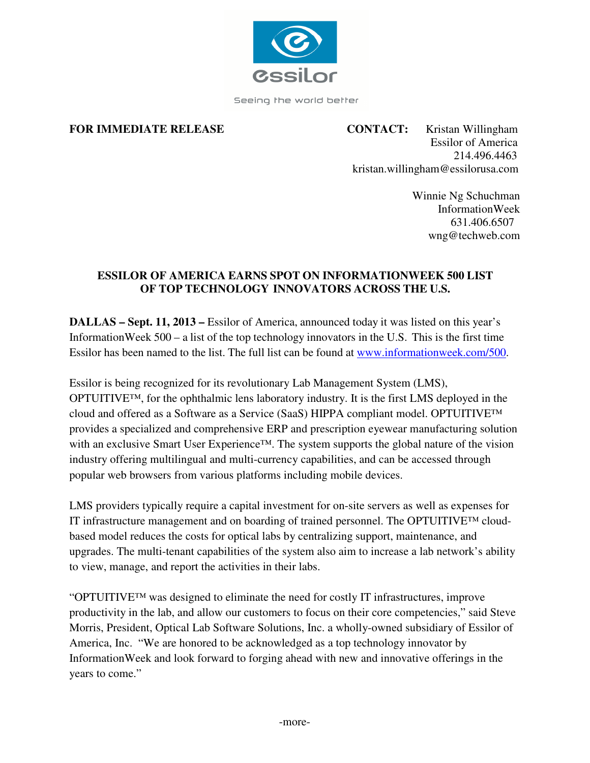

Seeing the world better

**FOR IMMEDIATE RELEASE CONTACT:** Kristan Willingham Essilor of America 214.496.4463 kristan.willingham@essilorusa.com

> Winnie Ng Schuchman InformationWeek 631.406.6507 wng@techweb.com

# **ESSILOR OF AMERICA EARNS SPOT ON INFORMATIONWEEK 500 LIST OF TOP TECHNOLOGY INNOVATORS ACROSS THE U.S.**

**DALLAS – Sept. 11, 2013 – Essilor of America, announced today it was listed on this year's** InformationWeek 500 – a list of the top technology innovators in the U.S. This is the first time Essilor has been named to the list. The full list can be found at www.informationweek.com/500.

Essilor is being recognized for its revolutionary Lab Management System (LMS), OPTUITIVE™, for the ophthalmic lens laboratory industry. It is the first LMS deployed in the cloud and offered as a Software as a Service (SaaS) HIPPA compliant model. OPTUITIVE™ provides a specialized and comprehensive ERP and prescription eyewear manufacturing solution with an exclusive Smart User Experience™. The system supports the global nature of the vision industry offering multilingual and multi-currency capabilities, and can be accessed through popular web browsers from various platforms including mobile devices.

LMS providers typically require a capital investment for on-site servers as well as expenses for IT infrastructure management and on boarding of trained personnel. The OPTUITIVE™ cloudbased model reduces the costs for optical labs by centralizing support, maintenance, and upgrades. The multi-tenant capabilities of the system also aim to increase a lab network's ability to view, manage, and report the activities in their labs.

"OPTUITIVE™ was designed to eliminate the need for costly IT infrastructures, improve productivity in the lab, and allow our customers to focus on their core competencies," said Steve Morris, President, Optical Lab Software Solutions, Inc. a wholly-owned subsidiary of Essilor of America, Inc. "We are honored to be acknowledged as a top technology innovator by InformationWeek and look forward to forging ahead with new and innovative offerings in the years to come."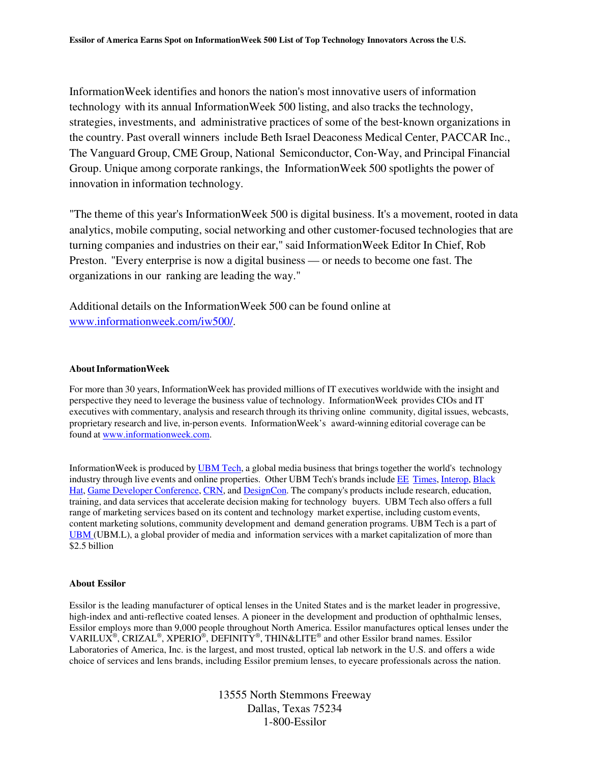InformationWeek identifies and honors the nation's most innovative users of information technology with its annual InformationWeek 500 listing, and also tracks the technology, strategies, investments, and administrative practices of some of the best-known organizations in the country. Past overall winners include Beth Israel Deaconess Medical Center, PACCAR Inc., The Vanguard Group, CME Group, National Semiconductor, Con‐Way, and Principal Financial Group. Unique among corporate rankings, the InformationWeek 500 spotlights the power of innovation in information technology.

"The theme of this year's InformationWeek 500 is digital business. It's a movement, rooted in data analytics, mobile computing, social networking and other customer‐focused technologies that are turning companies and industries on their ear," said InformationWeek Editor In Chief, Rob Preston. "Every enterprise is now a digital business — or needs to become one fast. The organizations in our ranking are leading the way."

Additional details on the InformationWeek 500 can be found online at www.informationweek.com/iw500/.

#### **About InformationWeek**

For more than 30 years, InformationWeek has provided millions of IT executives worldwide with the insight and perspective they need to leverage the business value of technology. InformationWeek provides CIOs and IT executives with commentary, analysis and research through its thriving online community, digital issues, webcasts, proprietary research and live, in‐person events. InformationWeek's award‐winning editorial coverage can be found at www.informationweek.com.

InformationWeek is produced by UBM Tech, a global media business that brings together the world's technology industry through live events and online properties. Other UBM Tech's brands include EE Times, Interop, Black Hat, Game Developer Conference, CRN, and DesignCon. The company's products include research, education, training, and data services that accelerate decision making for technology buyers. UBM Tech also offers a full range of marketing services based on its content and technology market expertise, including custom events, content marketing solutions, community development and demand generation programs. UBM Tech is a part of UBM (UBM.L), a global provider of media and information services with a market capitalization of more than \$2.5 billion

### **About Essilor**

Essilor is the leading manufacturer of optical lenses in the United States and is the market leader in progressive, high-index and anti-reflective coated lenses. A pioneer in the development and production of ophthalmic lenses, Essilor employs more than 9,000 people throughout North America. Essilor manufactures optical lenses under the VARILUX<sup>®</sup>, CRIZAL<sup>®</sup>, XPERIO<sup>®</sup>, DEFINITY<sup>®</sup>, THIN&LITE<sup>®</sup> and other Essilor brand names. Essilor Laboratories of America, Inc. is the largest, and most trusted, optical lab network in the U.S. and offers a wide choice of services and lens brands, including Essilor premium lenses, to eyecare professionals across the nation.

> 13555 North Stemmons Freeway Dallas, Texas 75234 1-800-Essilor